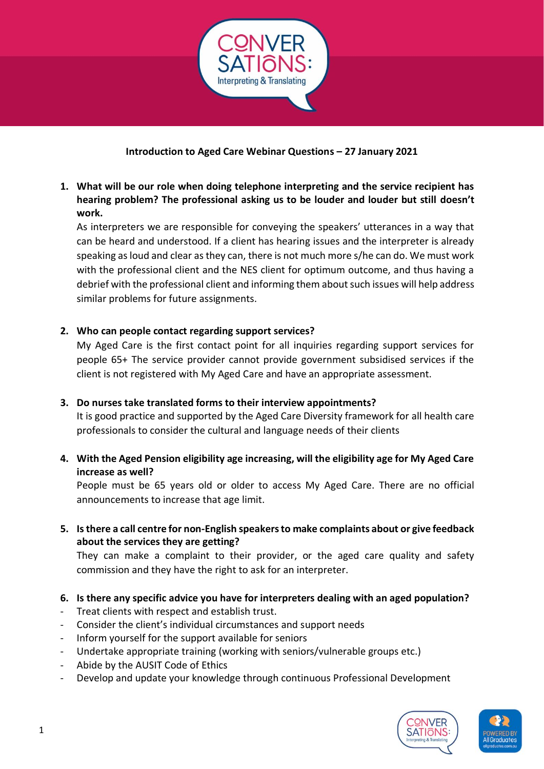

# **Introduction to Aged Care Webinar Questions – 27 January 2021**

**1. What will be our role when doing telephone interpreting and the service recipient has hearing problem? The professional asking us to be louder and louder but still doesn't work.**

As interpreters we are responsible for conveying the speakers' utterances in a way that can be heard and understood. If a client has hearing issues and the interpreter is already speaking as loud and clear as they can, there is not much more s/he can do. We must work with the professional client and the NES client for optimum outcome, and thus having a debrief with the professional client and informing them about such issues will help address similar problems for future assignments.

## **2. Who can people contact regarding support services?**

My Aged Care is the first contact point for all inquiries regarding support services for people 65+ The service provider cannot provide government subsidised services if the client is not registered with My Aged Care and have an appropriate assessment.

## **3. Do nurses take translated forms to their interview appointments?**

It is good practice and supported by the Aged Care Diversity framework for all health care professionals to consider the cultural and language needs of their clients

**4. With the Aged Pension eligibility age increasing, will the eligibility age for My Aged Care increase as well?**

People must be 65 years old or older to access My Aged Care. There are no official announcements to increase that age limit.

**5. Is there a call centre for non-English speakers to make complaints about or give feedback about the services they are getting?** 

They can make a complaint to their provider, or the aged care quality and safety commission and they have the right to ask for an interpreter.

- **6. Is there any specific advice you have for interpreters dealing with an aged population?**
- Treat clients with respect and establish trust.
- Consider the client's individual circumstances and support needs
- Inform yourself for the support available for seniors
- Undertake appropriate training (working with seniors/vulnerable groups etc.)
- Abide by the AUSIT Code of Ethics
- Develop and update your knowledge through continuous Professional Development



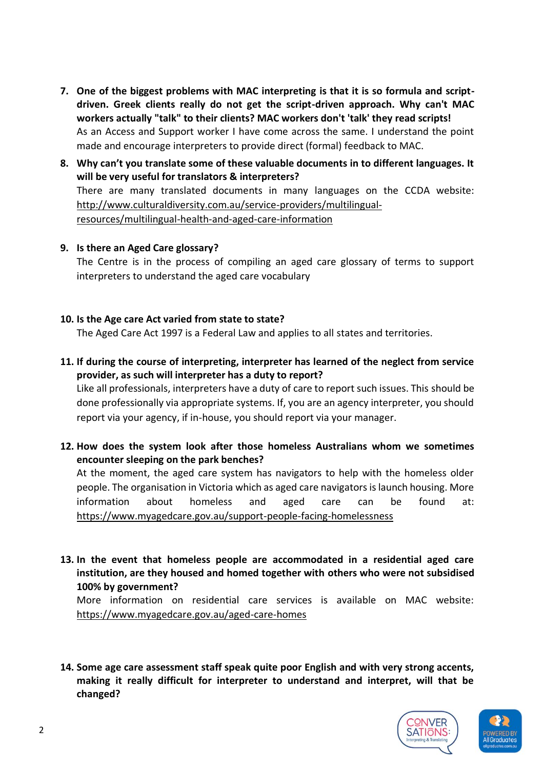- **7. One of the biggest problems with MAC interpreting is that it is so formula and scriptdriven. Greek clients really do not get the script-driven approach. Why can't MAC workers actually "talk" to their clients? MAC workers don't 'talk' they read scripts!** As an Access and Support worker I have come across the same. I understand the point made and encourage interpreters to provide direct (formal) feedback to MAC.
- **8. Why can't you translate some of these valuable documents in to different languages. It will be very useful for translators & interpreters?**  There are many translated documents in many languages on the CCDA website: [http://www.culturaldiversity.com.au/service-providers/multilingual](http://www.culturaldiversity.com.au/service-providers/multilingual-resources/multilingual-health-and-aged-care-information)[resources/multilingual-health-and-aged-care-information](http://www.culturaldiversity.com.au/service-providers/multilingual-resources/multilingual-health-and-aged-care-information)

#### **9. Is there an Aged Care glossary?**

The Centre is in the process of compiling an aged care glossary of terms to support interpreters to understand the aged care vocabulary

#### **10. Is the Age care Act varied from state to state?**

The Aged Care Act 1997 is a Federal Law and applies to all states and territories.

**11. If during the course of interpreting, interpreter has learned of the neglect from service provider, as such will interpreter has a duty to report?**

Like all professionals, interpreters have a duty of care to report such issues. This should be done professionally via appropriate systems. If, you are an agency interpreter, you should report via your agency, if in-house, you should report via your manager.

**12. How does the system look after those homeless Australians whom we sometimes encounter sleeping on the park benches?** 

At the moment, the aged care system has navigators to help with the homeless older people. The organisation in Victoria which as aged care navigators is launch housing. More information about homeless and aged care can be found at: <https://www.myagedcare.gov.au/support-people-facing-homelessness>

**13. In the event that homeless people are accommodated in a residential aged care institution, are they housed and homed together with others who were not subsidised 100% by government?** 

More information on residential care services is available on MAC website: <https://www.myagedcare.gov.au/aged-care-homes>

**14. Some age care assessment staff speak quite poor English and with very strong accents, making it really difficult for interpreter to understand and interpret, will that be changed?** 



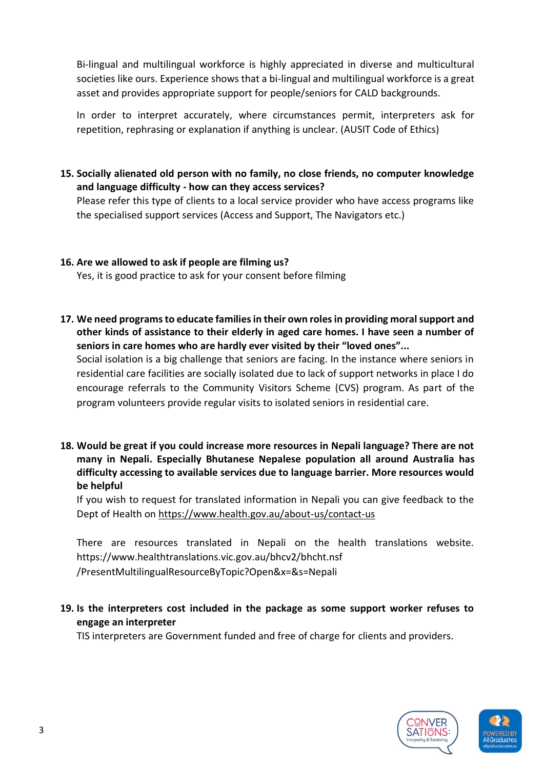Bi-lingual and multilingual workforce is highly appreciated in diverse and multicultural societies like ours. Experience shows that a bi-lingual and multilingual workforce is a great asset and provides appropriate support for people/seniors for CALD backgrounds.

In order to interpret accurately, where circumstances permit, interpreters ask for repetition, rephrasing or explanation if anything is unclear. (AUSIT Code of Ethics)

**15. Socially alienated old person with no family, no close friends, no computer knowledge and language difficulty - how can they access services?** 

Please refer this type of clients to a local service provider who have access programs like the specialised support services (Access and Support, The Navigators etc.)

## **16. Are we allowed to ask if people are filming us?**

Yes, it is good practice to ask for your consent before filming

**17. We need programs to educate families in their own roles in providing moral support and other kinds of assistance to their elderly in aged care homes. I have seen a number of seniors in care homes who are hardly ever visited by their "loved ones"...**

Social isolation is a big challenge that seniors are facing. In the instance where seniors in residential care facilities are socially isolated due to lack of support networks in place I do encourage referrals to the Community Visitors Scheme (CVS) program. As part of the program volunteers provide regular visits to isolated seniors in residential care.

**18. Would be great if you could increase more resources in Nepali language? There are not many in Nepali. Especially Bhutanese Nepalese population all around Australia has difficulty accessing to available services due to language barrier. More resources would be helpful** 

If you wish to request for translated information in Nepali you can give feedback to the Dept of Health on<https://www.health.gov.au/about-us/contact-us>

There are resources translated in Nepali on the health translations website. <https://www.healthtranslations.vic.gov.au/bhcv2/bhcht.nsf> /PresentMultilingualResourceByTopic?Open&x=&s=Nepali

**19. Is the interpreters cost included in the package as some support worker refuses to engage an interpreter**

TIS interpreters are Government funded and free of charge for clients and providers.